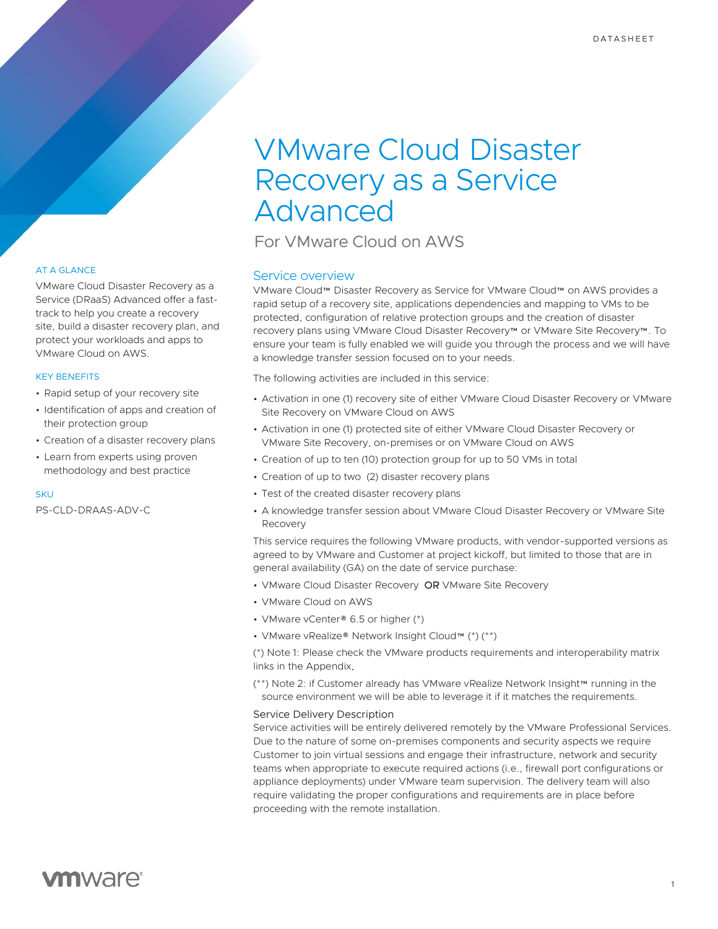# VMware Cloud Disaster Recovery as a Service Advanced

For VMware Cloud on AWS

### Service overview

VMware Cloud™ Disaster Recovery as Service for VMware Cloud™ on AWS provides a rapid setup of a recovery site, applications dependencies and mapping to VMs to be protected, configuration of relative protection groups and the creation of disaster recovery plans using VMware Cloud Disaster Recovery™ or VMware Site Recovery™. To ensure your team is fully enabled we will guide you through the process and we will have a knowledge transfer session focused on to your needs.

The following activities are included in this service:

- Activation in one (1) recovery site of either VMware Cloud Disaster Recovery or VMware Site Recovery on VMware Cloud on AWS
- Activation in one (1) protected site of either VMware Cloud Disaster Recovery or VMware Site Recovery, on-premises or on VMware Cloud on AWS
- Creation of up to ten (10) protection group for up to 50 VMs in total
- Creation of up to two (2) disaster recovery plans
- Test of the created disaster recovery plans
- A knowledge transfer session about VMware Cloud Disaster Recovery or VMware Site Recovery

This service requires the following VMware products, with vendor-supported versions as agreed to by VMware and Customer at project kickoff, but limited to those that are in general availability (GA) on the date of service purchase:

- VMware Cloud Disaster Recovery OR VMware Site Recovery
- VMware Cloud on AWS
- VMware vCenter® 6.5 or higher (\*)
- VMware vRealize® Network Insight Cloud™ (\*) (\*\*)

(\*) Note 1: Please check the VMware products requirements and interoperability matrix links in the Appendix.

(\*\*) Note 2: if Customer already has VMware vRealize Network Insight™ running in the source environment we will be able to leverage it if it matches the requirements.

### Service Delivery Description

Service activities will be entirely delivered remotely by the VMware Professional Services. Due to the nature of some on-premises components and security aspects we require Customer to join virtual sessions and engage their infrastructure, network and security teams when appropriate to execute required actions (i.e., firewall port configurations or appliance deployments) under VMware team supervision. The delivery team will also require validating the proper configurations and requirements are in place before proceeding with the remote installation.

### AT A GLANCE

VMware Cloud Disaster Recovery as a Service (DRaaS) Advanced offer a fasttrack to help you create a recovery site, build a disaster recovery plan, and protect your workloads and apps to VMware Cloud on AWS.

### KEY BENEFITS

- Rapid setup of your recovery site
- Identification of apps and creation of their protection group
- Creation of a disaster recovery plans
- Learn from experts using proven methodology and best practice

### **SKU**

PS-CLD-DRAAS-ADV-C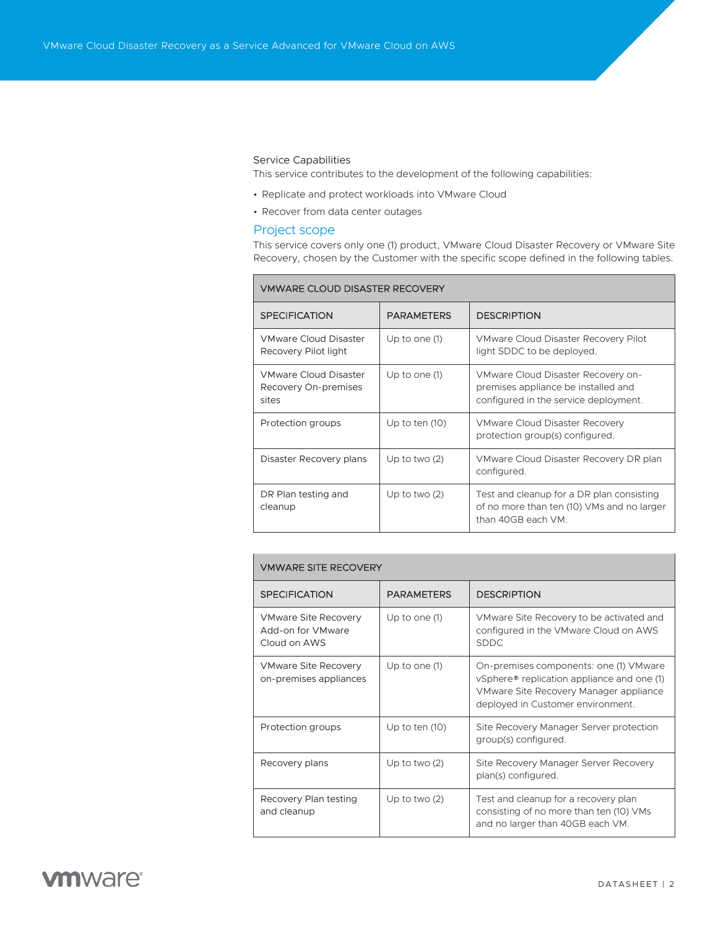### Service Capabilities

This service contributes to the development of the following capabilities:

- Replicate and protect workloads into VMware Cloud
- Recover from data center outages

### Project scope

This service covers only one (1) product, VMware Cloud Disaster Recovery or VMware Site Recovery, chosen by the Customer with the specific scope defined in the following tables.

| <b>VMWARE CLOUD DISASTER RECOVERY</b>                         |                   |                                                                                                                    |  |  |
|---------------------------------------------------------------|-------------------|--------------------------------------------------------------------------------------------------------------------|--|--|
| <b>SPECIFICATION</b>                                          | <b>PARAMETERS</b> | <b>DESCRIPTION</b>                                                                                                 |  |  |
| <b>VMware Cloud Disaster</b><br>Recovery Pilot light          | Up to one (1)     | VMware Cloud Disaster Recovery Pilot<br>light SDDC to be deployed.                                                 |  |  |
| <b>VMware Cloud Disaster</b><br>Recovery On-premises<br>sites | Up to one (1)     | VMware Cloud Disaster Recovery on-<br>premises appliance be installed and<br>configured in the service deployment. |  |  |
| Protection groups                                             | Up to ten (10)    | <b>VMware Cloud Disaster Recovery</b><br>protection group(s) configured.                                           |  |  |
| Disaster Recovery plans                                       | Up to two $(2)$   | VMware Cloud Disaster Recovery DR plan<br>configured.                                                              |  |  |
| DR Plan testing and<br>cleanup                                | Up to two $(2)$   | Test and cleanup for a DR plan consisting<br>of no more than ten (10) VMs and no larger<br>than 40GB each VM.      |  |  |

### VMWARE SITE RECOVERY

| <b>SPECIFICATION</b>                                             | <b>PARAMETERS</b> | <b>DESCRIPTION</b>                                                                                                                                                  |
|------------------------------------------------------------------|-------------------|---------------------------------------------------------------------------------------------------------------------------------------------------------------------|
| <b>VMware Site Recovery</b><br>Add-on for VMware<br>Cloud on AWS | Up to one (1)     | VMware Site Recovery to be activated and<br>configured in the VMware Cloud on AWS<br><b>SDDC</b>                                                                    |
| <b>VMware Site Recovery</b><br>on-premises appliances            | Up to one (1)     | On-premises components: one (1) VMware<br>vSphere® replication appliance and one (1)<br>VMware Site Recovery Manager appliance<br>deployed in Customer environment. |
| Protection groups                                                | Up to ten $(10)$  | Site Recovery Manager Server protection<br>group(s) configured.                                                                                                     |
| Recovery plans                                                   | Up to two $(2)$   | Site Recovery Manager Server Recovery<br>plan(s) configured.                                                                                                        |
| Recovery Plan testing<br>and cleanup                             | Up to two $(2)$   | Test and cleanup for a recovery plan<br>consisting of no more than ten (10) VMs<br>and no larger than 40GB each VM.                                                 |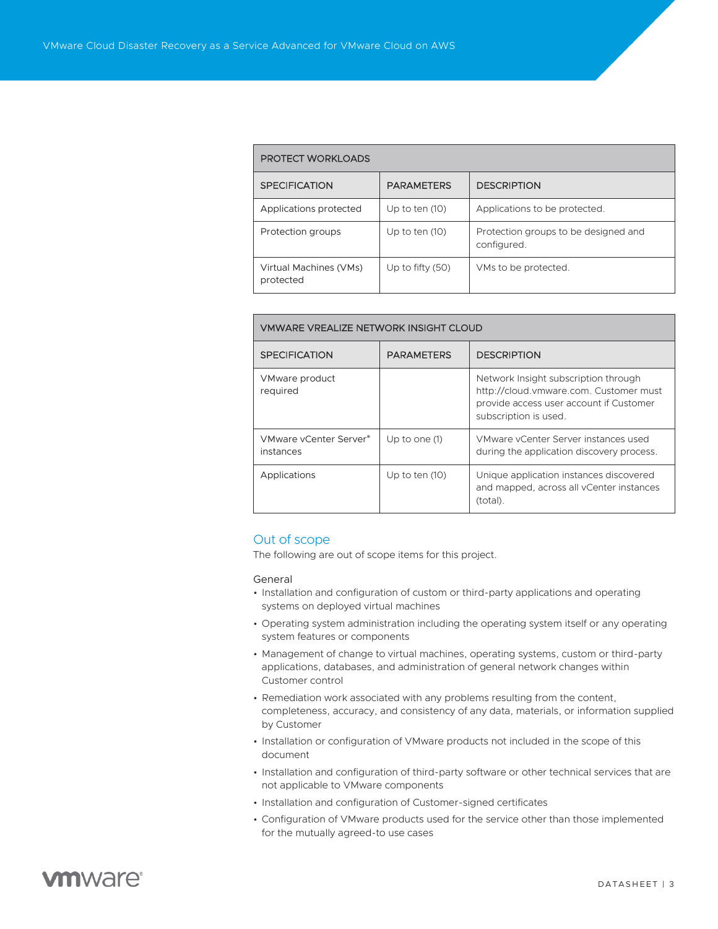### PROTECT WORKLOADS

| <b>SPECIFICATION</b>                | <b>PARAMETERS</b>  | <b>DESCRIPTION</b>                                  |  |  |
|-------------------------------------|--------------------|-----------------------------------------------------|--|--|
| Applications protected              | Up to ten $(10)$   | Applications to be protected.                       |  |  |
| Protection groups                   | Up to ten $(10)$   | Protection groups to be designed and<br>configured. |  |  |
| Virtual Machines (VMs)<br>protected | Up to fifty $(50)$ | VMs to be protected.                                |  |  |

### VMWARE VREALIZE NETWORK INSIGHT CLOUD

| <b>SPECIFICATION</b>                | <b>PARAMETERS</b> | <b>DESCRIPTION</b>                                                                                                                                 |
|-------------------------------------|-------------------|----------------------------------------------------------------------------------------------------------------------------------------------------|
| VMware product<br>required          |                   | Network Insight subscription through<br>http://cloud.vmware.com. Customer must<br>provide access user account if Customer<br>subscription is used. |
| VMware vCenter Server®<br>instances | Up to one (1)     | VMware vCenter Server instances used<br>during the application discovery process.                                                                  |
| Applications                        | Up to ten $(10)$  | Unique application instances discovered<br>and mapped, across all vCenter instances<br>(total).                                                    |

### Out of scope

The following are out of scope items for this project.

### General

- Installation and configuration of custom or third-party applications and operating systems on deployed virtual machines
- Operating system administration including the operating system itself or any operating system features or components
- Management of change to virtual machines, operating systems, custom or third-party applications, databases, and administration of general network changes within Customer control
- Remediation work associated with any problems resulting from the content, completeness, accuracy, and consistency of any data, materials, or information supplied by Customer
- Installation or configuration of VMware products not included in the scope of this document
- Installation and configuration of third-party software or other technical services that are not applicable to VMware components
- Installation and configuration of Customer-signed certificates
- Configuration of VMware products used for the service other than those implemented for the mutually agreed-to use cases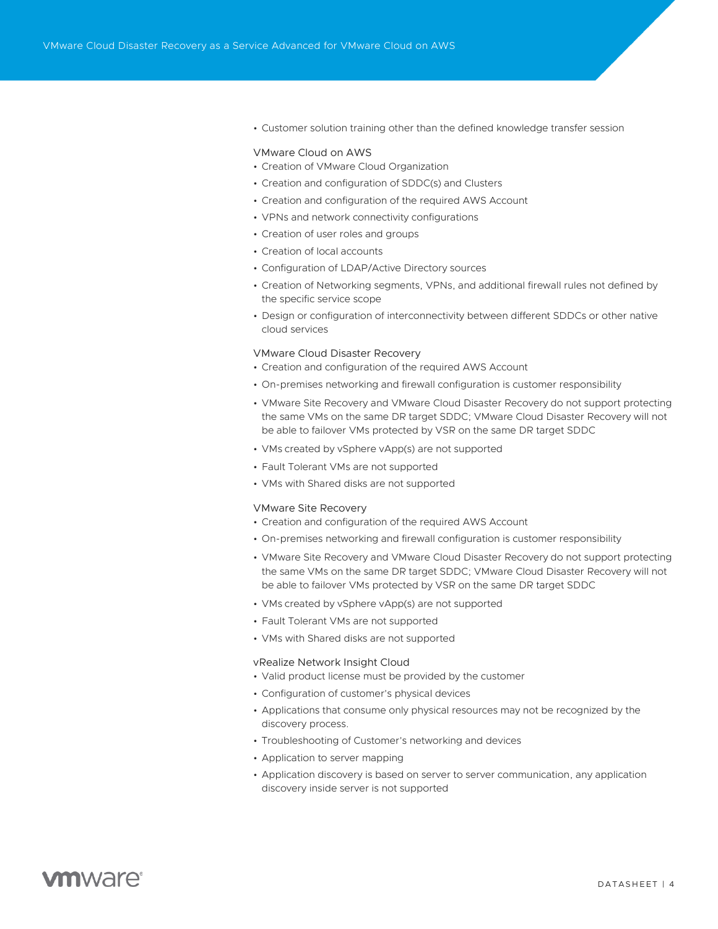• Customer solution training other than the defined knowledge transfer session

#### VMware Cloud on AWS

- Creation of VMware Cloud Organization
- Creation and configuration of SDDC(s) and Clusters
- Creation and configuration of the required AWS Account
- VPNs and network connectivity configurations
- Creation of user roles and groups
- Creation of local accounts
- Configuration of LDAP/Active Directory sources
- Creation of Networking segments, VPNs, and additional firewall rules not defined by the specific service scope
- Design or configuration of interconnectivity between different SDDCs or other native cloud services

#### VMware Cloud Disaster Recovery

- Creation and configuration of the required AWS Account
- On-premises networking and firewall configuration is customer responsibility
- VMware Site Recovery and VMware Cloud Disaster Recovery do not support protecting the same VMs on the same DR target SDDC; VMware Cloud Disaster Recovery will not be able to failover VMs protected by VSR on the same DR target SDDC
- VMs created by vSphere vApp(s) are not supported
- Fault Tolerant VMs are not supported
- VMs with Shared disks are not supported

#### VMware Site Recovery

- Creation and configuration of the required AWS Account
- On-premises networking and firewall configuration is customer responsibility
- VMware Site Recovery and VMware Cloud Disaster Recovery do not support protecting the same VMs on the same DR target SDDC; VMware Cloud Disaster Recovery will not be able to failover VMs protected by VSR on the same DR target SDDC
- VMs created by vSphere vApp(s) are not supported
- Fault Tolerant VMs are not supported
- VMs with Shared disks are not supported

#### vRealize Network Insight Cloud

- Valid product license must be provided by the customer
- Configuration of customer's physical devices
- Applications that consume only physical resources may not be recognized by the discovery process.
- Troubleshooting of Customer's networking and devices
- Application to server mapping
- Application discovery is based on server to server communication, any application discovery inside server is not supported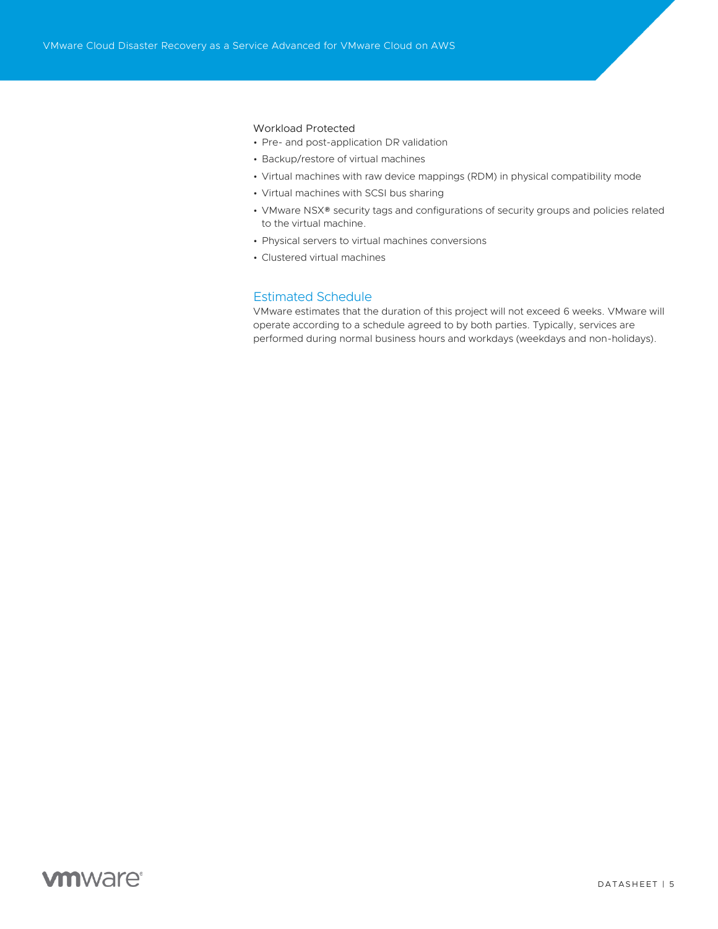### Workload Protected

- Pre- and post-application DR validation
- Backup/restore of virtual machines
- Virtual machines with raw device mappings (RDM) in physical compatibility mode
- Virtual machines with SCSI bus sharing
- VMware NSX® security tags and configurations of security groups and policies related to the virtual machine.
- Physical servers to virtual machines conversions
- Clustered virtual machines

### Estimated Schedule

VMware estimates that the duration of this project will not exceed 6 weeks. VMware will operate according to a schedule agreed to by both parties. Typically, services are performed during normal business hours and workdays (weekdays and non-holidays).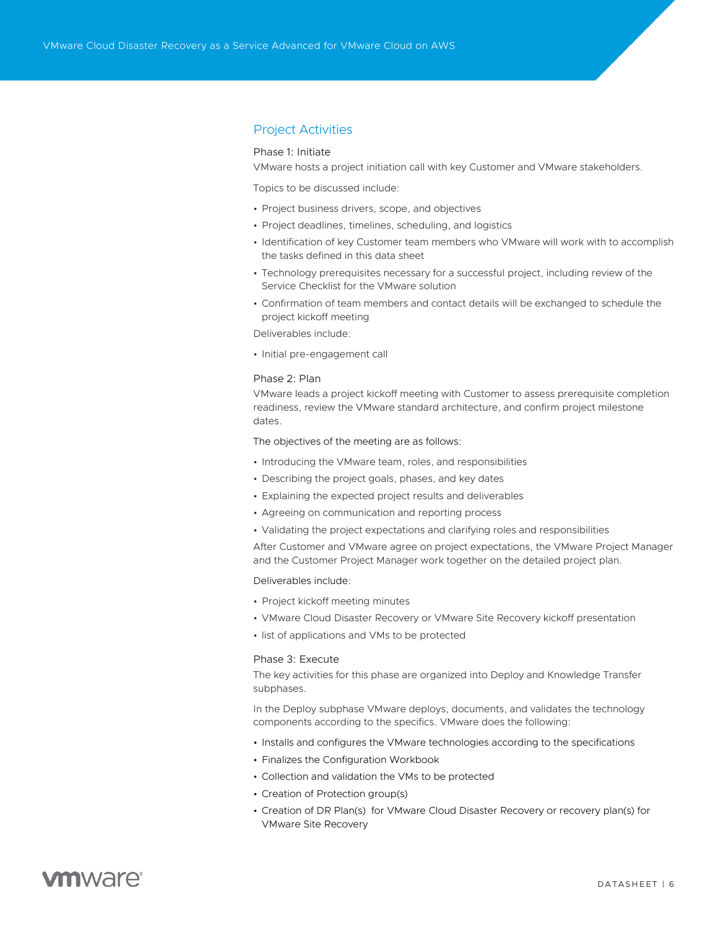### Project Activities

### Phase 1: Initiate

VMware hosts a project initiation call with key Customer and VMware stakeholders.

Topics to be discussed include:

- Project business drivers, scope, and objectives
- Project deadlines, timelines, scheduling, and logistics
- Identification of key Customer team members who VMware will work with to accomplish the tasks defined in this data sheet
- Technology prerequisites necessary for a successful project, including review of the Service Checklist for the VMware solution
- Confirmation of team members and contact details will be exchanged to schedule the project kickoff meeting

Deliverables include:

• Initial pre-engagement call

### Phase 2: Plan

VMware leads a project kickoff meeting with Customer to assess prerequisite completion readiness, review the VMware standard architecture, and confirm project milestone dates.

The objectives of the meeting are as follows:

- Introducing the VMware team, roles, and responsibilities
- Describing the project goals, phases, and key dates
- Explaining the expected project results and deliverables
- Agreeing on communication and reporting process
- Validating the project expectations and clarifying roles and responsibilities

After Customer and VMware agree on project expectations, the VMware Project Manager and the Customer Project Manager work together on the detailed project plan.

Deliverables include:

- Project kickoff meeting minutes
- VMware Cloud Disaster Recovery or VMware Site Recovery kickoff presentation
- list of applications and VMs to be protected

### Phase 3: Execute

The key activities for this phase are organized into Deploy and Knowledge Transfer subphases.

In the Deploy subphase VMware deploys, documents, and validates the technology components according to the specifics. VMware does the following:

- Installs and configures the VMware technologies according to the specifications
- Finalizes the Configuration Workbook
- Collection and validation the VMs to be protected
- Creation of Protection group(s)
- Creation of DR Plan(s) for VMware Cloud Disaster Recovery or recovery plan(s) for VMware Site Recovery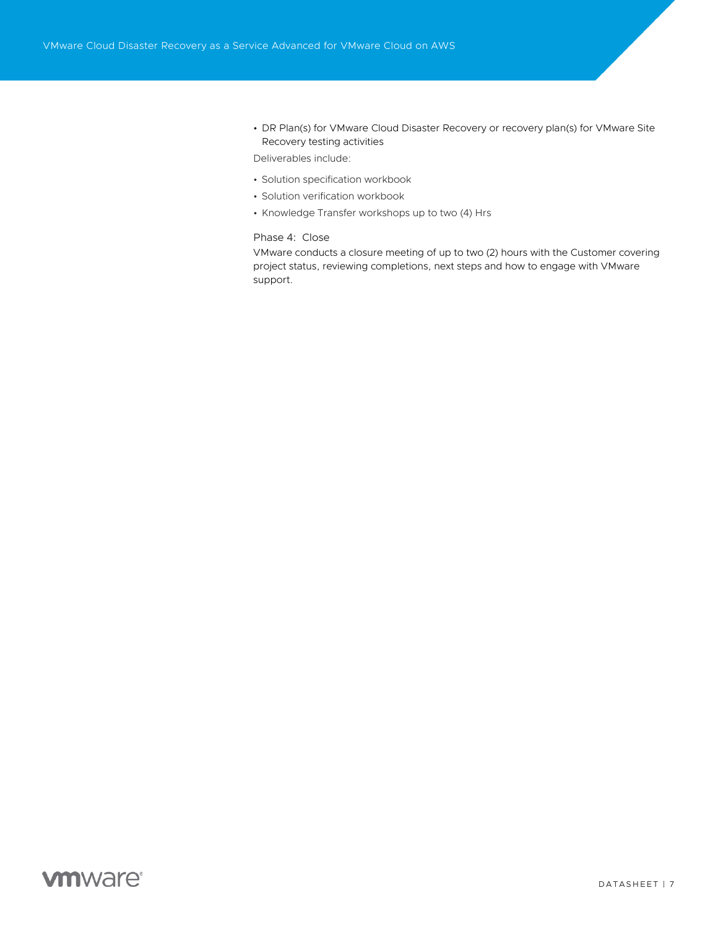• DR Plan(s) for VMware Cloud Disaster Recovery or recovery plan(s) for VMware Site Recovery testing activities

Deliverables include:

- Solution specification workbook
- Solution verification workbook
- Knowledge Transfer workshops up to two (4) Hrs

### Phase 4: Close

VMware conducts a closure meeting of up to two (2) hours with the Customer covering project status, reviewing completions, next steps and how to engage with VMware support.